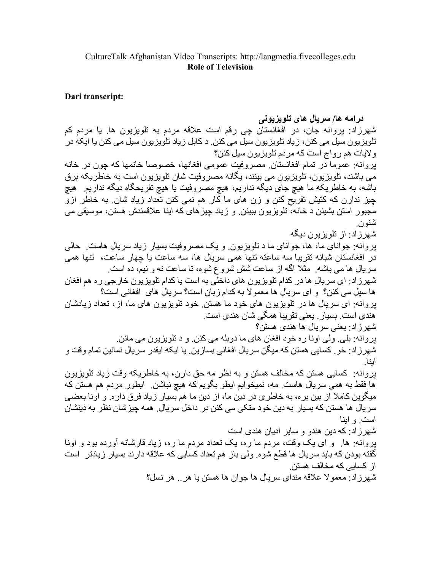## Dari transcript:

درامه ها/ سريال های تلويزيونی شهرزاد: بروانه جان، در افغانستان جي رقم است علاقه مردم به تلويزيون ها. يا مردم كم تلویزیون سیل می کنن، زیاد تلویزیون سیل می کنن د کابل زیاد تلویزیون سیل می کنن یا ایکه در ولايات هم رواج است كه مردم تلويزيون سيل كنن؟ يروانه: عموماً در نمام افغانستان مصروفيت عمومي افغانها، خصوصا خانمها كه چون در خانه می باشند، تلویزیون، تلویزیون می بینند، یگانه مصروفیت شان تلویزیون است به خاطریکه برق باشه، به خاطريکه ما هيچ جاي ديگه نداريم، هيچ مصروفيت يا هيچ تفريحگاه ديگه نداريم. هيچ چیز ندارن که کتیش تفریح کنن و زن های ما کار هم نمی کنن تعداد زیاد شان به خاطر ازو مجبور استن بشينن د خانه، تلويزيون ببينن و زياد جيز هاي كه اينا علاقمندش هستن، موسيقى مى شنو ن شهر زاد: از تلویز بون دیگه بروانه: جواناي ما، ها، جواناي ما د تلويزيون. و يک مصروفيت بسيار زياد سريال هاست. حالي در افغانستان شبانه تقریبا سه ساعته تنها همی سریال ها، سه ساعت یا چهار ساعت، تنها همی سريال ها مي باشه ٍ مثلا اگه از ساعت شش شروع شوه، تا ساعت نه و نيم، ده است ِ شهرزاد: ای سریال ها در کدام تلویزیون های داخلی به است یا کدام تلویزیون خارجی ره هم افغان ها سيل مي كنن؟ و اي سريال ها معمولا به كدام زبان است؟ سريال هاي افغاني است؟ بروانه: اي سريال ها در تلويزيون هاي خود ما هستن خود تلويزيون هاي ما، از، تعداد زيادشان هندي است. بسيار . يعني نقر يبا همگي شان هندي است. شهر زاد: یعنی سر یال ها هندی هستن؟ بروانه: بلي. ولي اونا ره خود افغان هاي ما دوبله مي كنن. و د تلويزيون مي مانن. شهرزاد: خو . كسايي هستن كه ميگن سريال افغاني بسازين . يا ايكه ايقدر سريال نمانين تمام وقت و ابنا بروانه: كسابي هستن كه مخالف هستن و به نظر مه حق دارن، به خاطريكه وقت زياد تلويزيون ها فقط به همی سریال هاست. مه، نمیخوایم ایطو بگویم که هیچ نباشن. ایطور مردم هم هستن که میگوین کاملا از بین بره، به خاطری در دین ما، از دین ما هم بسیار زیاد فرق داره. و اونا بعضی سريال ها هستن كه بسيار به دين خود متكي مي كنن در داخل سريال. همه چيزشان نظر به دينشان است و ابنا شهر ز اد: كه دين هندو و ساير اديان هندي است بروانه: ها. و اي يک وفت، مردم ما ره، يک نعداد مردم ما ره، زياد قارشانه أورده بود و اونا گفته بودن كه بايد سريال ها قطع شوه. ولي باز هم تعداد كسايي كه علاقه دارند بسيار زيادتر \_است از کسابے که مخالف هستن۔ شهرزاد: معمولا علاقه منداي سريال ها جوان ها هستن يا هر .. هر نسل؟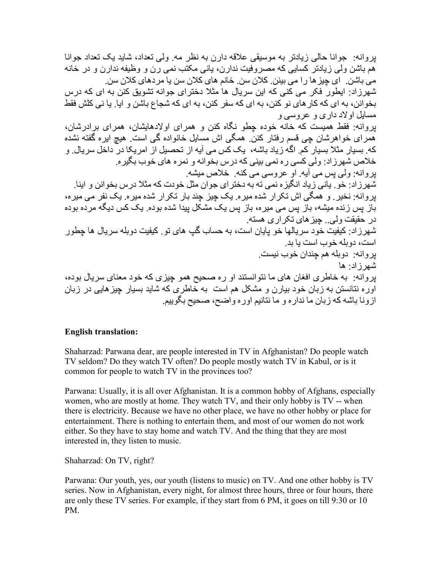بر و انه جو انا حالی زیادتر به موسیقی علاقه دارن به نظر مه ولی تعداد، شاید یک تعداد جو انا هم باشن ولي زيادتر كسابي كه مصر وفيت ندار ن، باني مكتب نمي ر ن و وظيفه ندار ن و در خانه مے، باشن ِ ای جبز ها ر ا مے، بینن کلان سن ِ خانم های کلان سن یا مر دهای کلان سن ِ شهر ز ادر ابطو ر فکر (مے کئے که ابن سر بال ها مثلا دختر ای جو انه تشویق کنن به ای که در س بخو انن، به ای که کار های نو کنن، به ای که سفر کنن، به ای که شجاع باشن و ایا ِ یا نی کلش فقط مسایل او لاد داری و عروسی و .<br>بروانه: فقط همیست که خانه خوده چطو نگاه کنن و همرای اولادهایشان، همرای برادرشان، همرای خواهرشان چی قسم رفتار کنن ِ همگی اش مسایل خانواده گی است ِ هیچ ایره گفته نشده که ِ بسیار مثلا بسیار کم ِ اگه زیاد باشه، یک کس می آیه از تحصیل از امریکا در داخل سریال ِ و خلاص شهرزاد: ولي كسي ره نمي بيني كه درس بخوانه و نمره هاي خوب بگيره. بِروانه: ولي بِس مي أيه. او عروسي مي كنه. خلاص ميشه. شهرزاد: خو ِ پانی زیاد انگیزه نمی ته به دخترای جوان مثل خودت که مثلا درس بخوانن و اینا ِ پروانه: نخیر ِ و همگی اش تکرار شده میره ِ یک چیز چند بار تکرار شده میره ِ یک نفر می میره، .<br>باز بس زنده میشه، باز پس می میره، باز پس یک مشکل پیدا شده بوده<sub>.</sub> یک کس دیگه مرده بوده در حقیقت ولمی و جبز های تکر از ی هسته ِ .<br>شهرزاد: کیفیت خود سریالها خو پایان است، به حساب گپ های تو<sub>.</sub> کیفیت دوبله سریال ها جطور است، دو بله خوب است با بد پروانه: دوبله هم چندان خوب نیست. شهر زاد ما بروانه: به خاطري افغان هاي ما نتوانستند او ره صحيح همو چيزي كه خود معناي سريال بوده، اوره نتانستن به زبان خود بیارن و مشکل هم است ً به خاطری که شاید بسیار چیز هایی در زبان ازونا باشه كه زبان ما نداره و ما نتانيم اور ه واضح، صحيح بگوييم

## **English translation:**

Shaharzad: Parwana dear, are people interested in TV in Afghanistan? Do people watch TV seldom? Do they watch TV often? Do people mostly watch TV in Kabul, or is it common for people to watch TV in the provinces too?

Parwana: Usually, it is all over Afghanistan. It is a common hobby of Afghans, especially women, who are mostly at home. They watch TV, and their only hobby is TV -- when there is electricity. Because we have no other place, we have no other hobby or place for entertainment. There is nothing to entertain them, and most of our women do not work either. So they have to stay home and watch TV. And the thing that they are most interested in, they listen to music.

Shaharzad: On TV, right?

Parwana: Our youth, yes, our youth (listens to music) on TV. And one other hobby is TV series. Now in Afghanistan, every night, for almost three hours, three or four hours, there are only these TV series. For example, if they start from 6 PM, it goes on till 9:30 or 10 PM.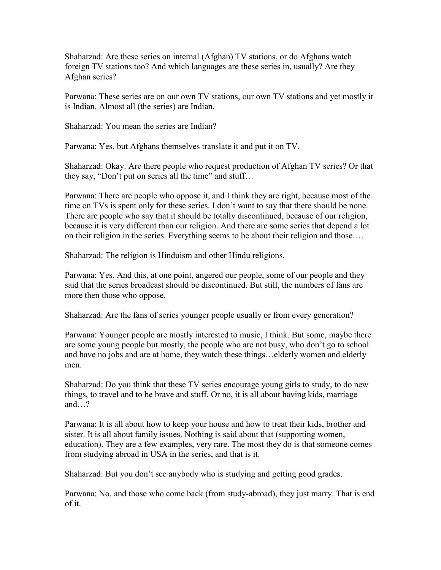Shaharzad: Are these series on internal (Afghan) TV stations, or do Afghans watch foreign TV stations too? And which languages are these series in, usually? Are they Afghan series?

Parwana: These series are on our own TV stations, our own TV stations and yet mostly it is Indian. Almost all (the series) are Indian.

Shaharzad: You mean the series are Indian?

Parwana: Yes, but Afghans themselves translate it and put it on TV.

Shaharzad: Okay. Are there people who request production of Afghan TV series? Or that they say, "Don't put on series all the time" and stuff…

Parwana: There are people who oppose it, and I think they are right, because most of the time on TVs is spent only for these series. I don't want to say that there should be none. There are people who say that it should be totally discontinued, because of our religion, because it is very different than our religion. And there are some series that depend a lot on their religion in the series. Everything seems to be about their religion and those….

Shaharzad: The religion is Hinduism and other Hindu religions.

Parwana: Yes. And this, at one point, angered our people, some of our people and they said that the series broadcast should be discontinued. But still, the numbers of fans are more then those who oppose.

Shaharzad: Are the fans of series younger people usually or from every generation?

Parwana: Younger people are mostly interested to music, I think. But some, maybe there are some young people but mostly, the people who are not busy, who don't go to school and have no jobs and are at home, they watch these things…elderly women and elderly men.

Shaharzad: Do you think that these TV series encourage young girls to study, to do new things, to travel and to be brave and stuff. Or no, it is all about having kids, marriage and…?

Parwana: It is all about how to keep your house and how to treat their kids, brother and sister. It is all about family issues. Nothing is said about that (supporting women, education). They are a few examples, very rare. The most they do is that someone comes from studying abroad in USA in the series, and that is it.

Shaharzad: But you don't see anybody who is studying and getting good grades.

Parwana: No. and those who come back (from study-abroad), they just marry. That is end of it.